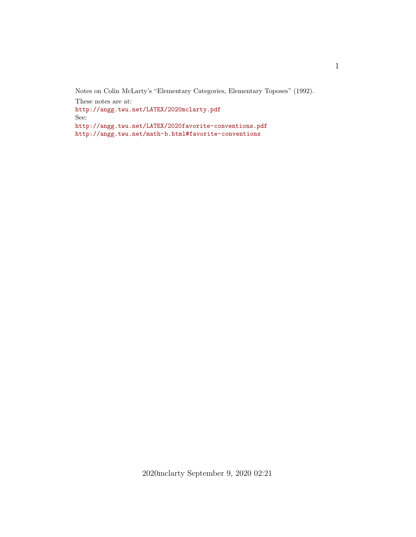Notes on Colin McLarty's "Elementary Categories, Elementary Toposes" (1992). These notes are at: <http://angg.twu.net/LATEX/2020mclarty.pdf> See: <http://angg.twu.net/LATEX/2020favorite-conventions.pdf> <http://angg.twu.net/math-b.html#favorite-conventions>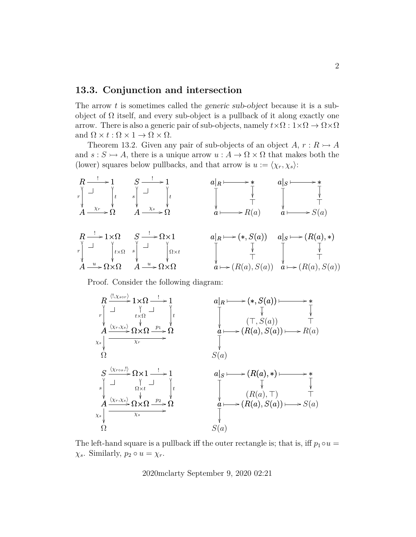## **13.3. Conjunction and intersection**

The arrow t is sometimes called the *generic sub-object* because it is a subobject of  $\Omega$  itself, and every sub-object is a pullback of it along exactly one arrow. There is also a generic pair of sub-objects, namely  $t \times \Omega : 1 \times \Omega \to \Omega \times \Omega$ and  $\Omega \times t : \Omega \times 1 \to \Omega \times \Omega$ .

Theorem 13.2. Given any pair of sub-objects of an object  $A, r: R \rightarrow A$ and  $s : S \rightarrowtail A$ , there is a unique arrow  $u : A \rightarrow \Omega \times \Omega$  that makes both the (lower) squares below pullbacks, and that arrow is  $u := \langle \chi_r, \chi_s \rangle$ :



Proof. Consider the following diagram:



The left-hand square is a pullback iff the outer rectangle is; that is, iff  $p_1 \circ u =$  $\chi_s$ . Similarly,  $p_2 \circ u = \chi_r$ .

2020mclarty September 9, 2020 02:21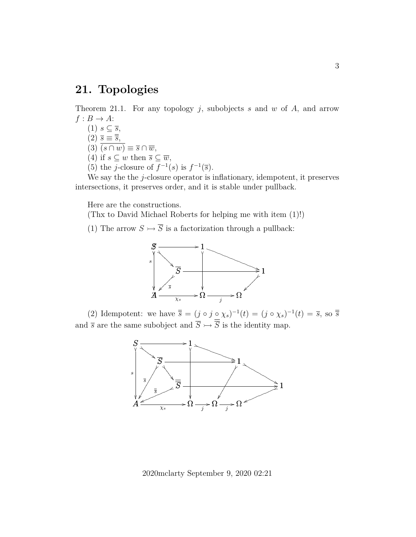## **21. Topologies**

Theorem 21.1. For any topology  $j$ , subobjects  $s$  and  $w$  of  $A$ , and arrow  $f : B \to A$ :

(1)  $s \subseteq \overline{s}$ ,  $(2)$   $\overline{s} \equiv \overline{\overline{s}},$ 

 $(3)$   $\overline{(s \cap w)} \equiv \overline{s} \cap \overline{w}$ ,

- (4) if  $s \subseteq w$  then  $\overline{s} \subseteq \overline{w}$ ,
- (5) the *j*-closure of  $f^{-1}(s)$  is  $f^{-1}(\overline{s})$ .

We say the the  $j$ -closure operator is inflationary, idempotent, it preserves intersections, it preserves order, and it is stable under pullback.

Here are the constructions.

(Thx to David Michael Roberts for helping me with item (1)!)

(1) The arrow  $S \rightarrow \overline{S}$  is a factorization through a pullback:



(2) Idempotent: we have  $\overline{\overline{s}} = (j \circ j \circ \chi_s)^{-1}(t) = (j \circ \chi_s)^{-1}(t) = \overline{s}$ , so  $\overline{\overline{s}}$ and  $\overline{s}$  are the same subobject and  $\overline{S} \rightarrowtail \overline{\overline{S}}$  is the identity map.



2020mclarty September 9, 2020 02:21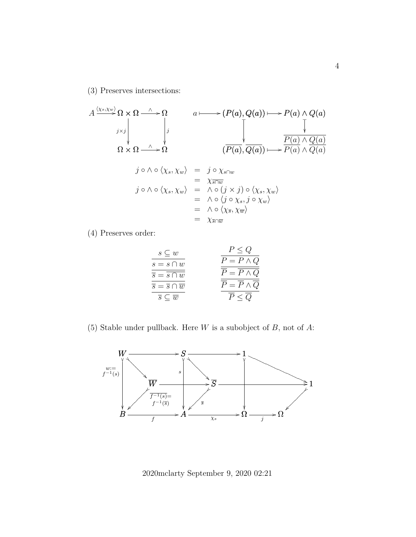(3) Preserves intersections:

A Ω × Ω hχs,χwi /Ω Ω <sup>∧</sup> / Ω × Ω j×j Ω j Ω <sup>∧</sup> / a (P(a), Q(a)) ✤ /P(a) ∧ Q(a) ✤ / (P(a), Q(a)) ❴ P(a) ∧ Q(a) ❴ P(a) ∧ Q(a) ✤ / j ◦ ∧ ◦ hχs, χwi = j ◦ χs∩<sup>w</sup> = χs∩<sup>w</sup> j ◦ ∧ ◦ hχs, χwi = ∧ ◦ (j × j) ◦ hχs, χwi = ∧ ◦ hj ◦ χs, j ◦ χwi = ∧ ◦ hχs, χwi = χs∩<sup>w</sup>

(4) Preserves order:

| $s \subseteq w$                                 | $P \leq Q$       |
|-------------------------------------------------|------------------|
| $s = s \cap w$                                  | $P = P \wedge Q$ |
| $\overline{s} = s \cap w$                       | $P = P \wedge Q$ |
| $\overline{s} = \overline{s} \cap \overline{w}$ | $P = P \wedge Q$ |
| $\overline{s} \subset \overline{w}$             | $P \leq Q$       |

(5) Stable under pullback. Here  $W$  is a subobject of  $B$ , not of  $A$ :



2020mclarty September 9, 2020 02:21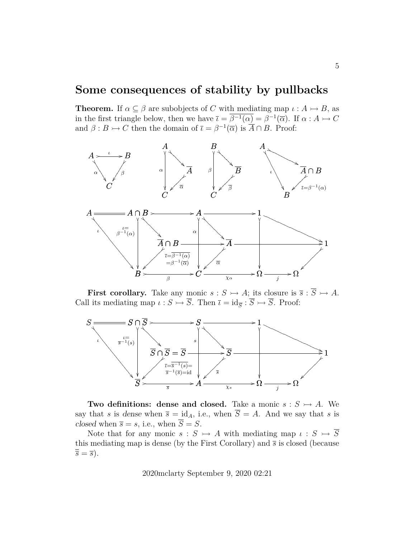## **Some consequences of stability by pullbacks**

**Theorem.** If  $\alpha \subseteq \beta$  are subobjects of C with mediating map  $\iota : A \rightarrow B$ , as in the first triangle below, then we have  $\bar{\iota} = \bar{\beta}^{-1}(\alpha) = \beta^{-1}(\bar{\alpha})$ . If  $\alpha : A \rightarrowtail C$ and  $\beta: B \rightarrowtail C$  then the domain of  $\overline{\iota} = \beta^{-1}(\overline{\alpha})$  is  $\overline{A} \cap B$ . Proof:



**First corollary.** Take any monic  $s : S \rightarrowtail A$ ; its closure is  $\overline{s} : \overline{S} \rightarrowtail A$ . Call its mediating map  $\iota : S \rightarrow \overline{S}$ . Then  $\overline{\iota} = id_{\overline{S}} : \overline{S} \rightarrow \overline{S}$ . Proof:



**Two definitions: dense and closed.** Take a monic  $s : S \rightarrow A$ . We say that s is dense when  $\overline{s} = id_A$ , i.e., when  $\overline{S} = A$ . And we say that s is closed when  $\overline{s} = s$ , i.e., when  $\overline{S} = S$ .

Note that for any monic  $s : S \rightarrow A$  with mediating map  $\iota : S \rightarrow \overline{S}$ this mediating map is dense (by the First Corollary) and  $\bar{s}$  is closed (because  $\overline{\overline{s}} = \overline{s}$ ).

2020mclarty September 9, 2020 02:21